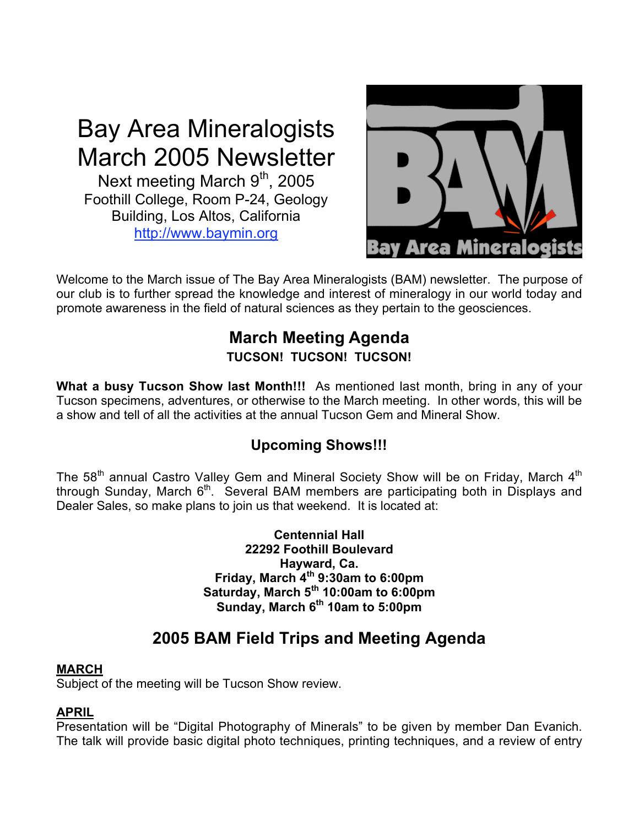# Bay Area Mineralogists March 2005 Newsletter

Next meeting March 9<sup>th</sup>, 2005 Foothill College, Room P-24, Geology Building, Los Altos, California http://www.baymin.org



Welcome to the March issue of The Bay Area Mineralogists (BAM) newsletter. The purpose of our club is to further spread the knowledge and interest of mineralogy in our world today and promote awareness in the field of natural sciences as they pertain to the geosciences.

## **March Meeting Agenda TUCSON! TUCSON! TUCSON!**

**What a busy Tucson Show last Month!!!** As mentioned last month, bring in any of your Tucson specimens, adventures, or otherwise to the March meeting. In other words, this will be a show and tell of all the activities at the annual Tucson Gem and Mineral Show.

# **Upcoming Shows!!!**

The  $58<sup>th</sup>$  annual Castro Valley Gem and Mineral Society Show will be on Friday, March  $4<sup>th</sup>$ through Sunday, March 6<sup>th</sup>. Several BAM members are participating both in Displays and Dealer Sales, so make plans to join us that weekend. It is located at:

> **Centennial Hall 22292 Foothill Boulevard Hayward, Ca. Friday, March 4th 9:30am to 6:00pm Saturday, March 5th 10:00am to 6:00pm Sunday, March 6th 10am to 5:00pm**

# **2005 BAM Field Trips and Meeting Agenda**

#### **MARCH**

Subject of the meeting will be Tucson Show review.

#### **APRIL**

Presentation will be "Digital Photography of Minerals" to be given by member Dan Evanich. The talk will provide basic digital photo techniques, printing techniques, and a review of entry